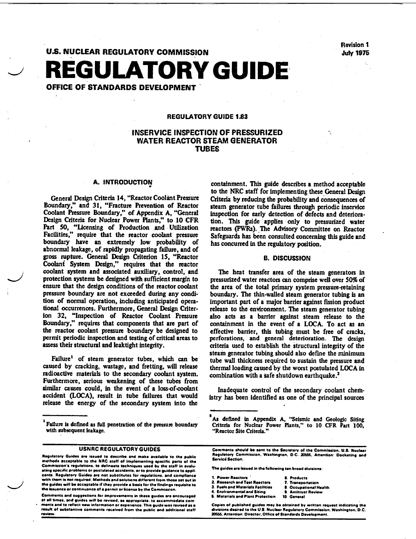Revision 1<br>July 1975

# **U.S. NUCLEAR REGULATORY COMMISSION** REGULATORY **GUIDE**  OFFICE OF STANDARDS DEVELOPMENT'

## REGULATORY GUIDE 1.83

# INSERVICE INSPECTION OF PRESSURIZED WATER REACTOR STEAM GENERATOR TUBES

### A. INTRODUCTION

General Design Criteria 14, "Reactor Coolant Pressure Boundary" and 31, "Fracture Prevention of Reactor Coolant Pressure Boundary," of Appendix A, "General Design Criteria for Nuclear Power Plants," to 10 CFR Part 50, "Ucensing of Production and Utilization Facilities," require that the reactor coolant pressure boundary have an extremely low probability of abnormal leakage, of rapidly propagating failure, and of gross rupture. General Design Criterion 15, "Reactor Coolani System Design," requires that the reactor coolant system and associated auxiliary, control, and protection systems be designed with sufficient margin to ensure that the design conditions of the reactor coolant pressure boundary are not exceeded during any condi tion of normal operation, including anticipated opera tional occurrences. Furthermore, General Design Criter ion 32, "Inspection of Reactor Coolant Pressure Boundary," requires that components that are part of the reactor coolant pressure boundary be designed to permit periodic inspection and testing of critical areas to assess their structural and leaktight integrity.

Failure' of steam generator tubes, which can be caused by cracking, wastage, and fretting, will release radioactive materials to the secondary coolant system. Furthermore, serious weakening of these tubes from similar causes could, in the event of a loss-of-coolant accident (LOCA), result in tube failures that would release the energy of the secondary system into the

Comments **end** suggestions for improvements in these **guides are** encouraged **S** Materials **and** Plant Protection **10** General **ot all** times, **and** guides will **be** revised, **as** appropriate. to accommodate **cam**  on the section of the contraction or appropriate, to accummustations and copies of published guides may be obtained by written request indicating the may be obtained by written request indicating the contract of the U.S. N result of substantive comments received from the public and additional staff and invisions desired to the U.S. Nuclear Regulatory Commission (2055), Attention: Director. Office of Standards Development.

containment. This guide describes a method acceptable to the NRC staff for implementing these General Design Criteria by reducing the probability and consequences of steam generator tube failures through periodic inservice inspection for early detection of defects and deterioration. This guide applies only to pressurized water reactors (PWRs). The Advisory Committee on Reactor Safeguards has been consulted concerning this guide and has concurred in the regulatory position.

#### B. DISCUSSION

The heat transfer area of the steam generators in pressurized water reactors can comprise well over 50% of the area of the total primary system pressure-retaining boundary. The thin-walled steam generator tubing is an important part of a major barrier against fission product release to the environment. The steam generator tubing also acts as a barrier against steam release to the containment in the event of a LOCA. To act as an effective barrier, this tubing must be free of cracks, perforations, and general deterioration. The design criteria used to establish the structural integrity of the steam generator tubing should also define the minimum tube wall thickness required to sustain the pressure and thermal loading caused by the worst postulated LOCA in combination with a safe shutdown earthquake.<sup>2</sup>

Inadequate control of the secondary coolant chem istry has been identified as one of the principal sources

- 
- - -

<sup>t</sup> Failure is defined as full penetration of the pressure boundary with subsequent leakage.

methods **acceptable to** the NRC staff **of** Implementing specific pans **@1** the Service Section. Commission's regulations, **to** delineate techniques **used by** the staff in evalu- The guides **are** issued in the following **ten** broad divisions: Examples on a regularms, to comment techniques uses of the start in evaluations and specific problems or postulated accidents, or to provide guidance to appli-<br>
cants. Regulatory Guides are not substitutes for regulations, the guides will **be** accepteble **if they** provides basis **for** the findings requisite **to 3.** Fuels and Materials Facilities **S.** Occupational Health **the** issuance **or** continuance **of a** permit or license **by** the Commission. 4. Environmental **and** Siting **9.** Antitrust Review

As defined in Appendix A, "Seismic and Geologic Siting Criteria for Nuclear Power Plants," to **10** CFR Part 100, "Reactor Site Criteria."

USNRC REGULATORY GUIDES Comments should **be** sent to the Secretary **of** the Commission. **U.S. Nuclear**  Regulatory Guides are issued **to** describe **and** make available to the public Regulatory Commission. Washington. **D.C.** 2V565. Attention: Docketing and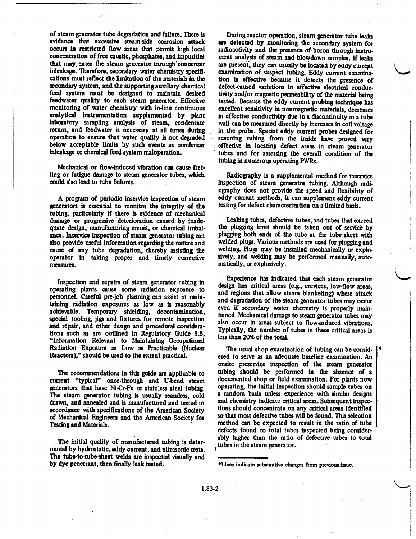of steam generator tube degradation and failure. There is evidence that excessive steam-side corrosion attack occurs in restricted flow areas that permit high local concentration of free caustic, phosphates, and Impurities that may enter the steam generator tnrough concenser inleakage. Therefore, secondary water chemistry specifi cations must reflect the limitation of the materials in the secondary system, and the supporting auxiliary chemical feed system must be designed to maintain desired feedwater quality to each steam generator. Effective monitoring of water chemistry with in-line continuous analytical instrumentation supplemented by plant laboratory sampling analysis of steam, condensate return, and feedwater is necessary at all times during operation to ensure that water quality is not degraded below acceptable limits by such events as condenser inleakage or chemical feed system maloperation.

Mechanical or flow-induced vibration can cause fret ting or fatigue damage to steam generator tubes, which could also lead to tube failures.

A program of periodic inservice inspection of steam generators is essential to monitor the integrity of the tubing, particularly if there is evidence of mechanical damage or progressive deterioration caused by inade quate design, manufacturing errors, or chemical imbal ance. Inservice inspection of steam generator tubing can also provide useful information regarding the nature and cause of any tube degradation, thereby assisting the operator in taking proper and timely corrective measures.

Inspection and repairs of steam generator tubing in operating plants cause some radiation exposure to personnel. Careful pre-job planning can assist in main taining radiation exposures as low as is reasonably achievable. Temporary shielding, decontamination, special tooling, jigs and fixtures for remote inspection and repair, and other design and procedural considera tions such as are outlined in Regulatory Guide 8.8, "Information Relevant to Maintaining Occupational Radiation Exposure as Low as Practicable (Nuclear Reactors)," should be used to the extent practical.

The recommendations in this guide are applicable to current "typical" once-through and U-bend steam generators that have Ni-Cr-Fe or stainless steel tubing. The steam generator tubing is usually seamless, cold drawn, and annealed and is manufactured and tested in accordance with specifications of the American Society of Mechanical Engineers and the American Society for Testing and Materials.

The initial quality of manufactured tubing is deter mined by hydrostatic, eddy current, and ultrasonic tests. The tube-to-tube-sheet welds are inspected visually and by dye penetrant, then finally leak tested.

During reactor operation, steam generator tube leaks are detected by monitoring the secondary system for radioactivity and the presence of boron through instru. ment analysis of steam and blowdown samples. If leaks are present, they can usually be located by eday currept examination of suspect tubing. Eddy current examina tion is effective because it detects the presence of defect-caused variations in effective electrical conduc tivity and/or magnetic permeability of the material being tested. Because the eddy current probing technique has excellent sensitivity in nonmagnetic materials, decreases in effective conductivity due to a discontinuity in a tube wall can be measured directly by increases in coil voltage in the probe. Special eddy current probes designed for scanning tubing from the inside have proved very effective in locating defect areas in steam generator tubes and for assessing the overall condition of the tubing in numerous operating PWRs.

Radiography is a supplemental method for inservice inspection of steam generator tubing. Although radi ography does not provide the speed and flexibility of eddy current methods, it can supplement eddy current testing for defect characterization on a limited basis.

Leaking tubes, defective tubes, and tubes that exceed the plugging limit should be taken out of service by plugging both ends of the tube at the tube sheet with welded plugs. Various methods are used for plugging and welding. Plugs may be installed mechanically or explo sively, and welding may be performed manually, auto matically, or explosively.

Experience has indicated that each steam generator design has critical areas (e.g., crevices, low-flow areas, and regions that allow steam blanketing) where attack and degradation of the steam generator tubes may occur even if secondary water chemistry is properly main tained. Mechanical damage to steam generator tubes may also occur in areas subject to flow-induced vibrations. Typically, the number of tubes in these critical areas is less than 20% of the total.

The usual shop examination of tubing can be consid ered to serve as an adequate baseline examination. An onsite preservice inspection of the steam generator tubing should be performed in the absence of a documented shop or field examination. For plants now operating, the initial inspection should sample tubes on a random basis unless experience with similar designs and chemistry indicate critical areas. Subsequent inspec tions should concentrate on any critical areas identified so that most defective tubes will be found. This selection method can be expected to result in the ratio of tube defects found to total tubes inspected being consider ably higher than the ratio of defective tubes to total tubes in the steam generator.

<sup>\*</sup>Lines indicate substantive changes from previous issue.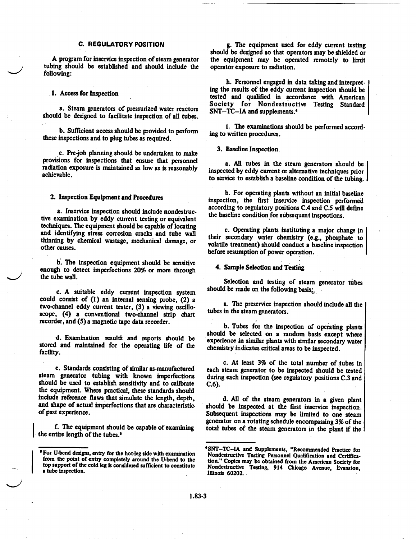#### **C.** REGULATORY **POSITION**

A program for inservice inspection of steam generator tubing should be established and should include the following:

#### **.1.** Access for Inspection

a. Steam generators of pressurized water reactors should be designed to facilitate inspection of all tubes.

**b.** Sufficient access should be provided to perform these inspections and to plug tubes as required.

c. Pre-job planning should be undertaken to make provisions for inspections that ensure that personnel radiation exposure is maintained as low as is reasonably achievable.

2. Inspection Equipment and Procedures

a. Inservice inspection should include nondestruc tive examination by eddy current testing or equivalent techniques. The equipment should be capable of locating and identifying stress corrosion cracks and tube wall thinning by chemical wastage, mechanical damage, or other causes.

**b.** The inspection equipment should be sensitive enough to detect imperfections 20% or more through the tube wall.

c. A suitable eddy current inspection system could consist of **(1)** an internal sensing probe, (2) a two-channel eddy current tester, **(3)** a viewing oscillo scope, (4) a conventional two-channel strip chart recorder, and (5) a magnetic tape data recorder.

d. Examination results and reports should be stored and maintained for the operating life of the facility.

e. Standards consisting of similar as-manufactured steam generator tubing with known imperfections should be used to establish sensitivity and to calibrate the equipment. Where practical, these standards should include reference flaws that simulate the length, depth, and shape of actual imperfections that are characteristic of past experience.

f. The equipment should be capable of examining the entire length of the tubes.'

g. The equipment used for eddy current testing should be designed so that operators may be shielded or the equipment may be operated remotely to limit operator exposure to radiation.

h. Personnel engaged in data taking and interpret ing the results of the eddy current inspection should be tested and qualified in accordance with American Society for Nondestructive Testing Standard SNT-TC-IA and supplements.\*

i. The examinations should be performed according to written procedures.

**3.** Baseline Inspection

a. All tubes in the steam generators should be inspected by eddy current or alternative techniques prior to service to establish a baseline condition of the tubing. I

b. For operating plants without an initial baseline inspection, the first inservice inspection performed according to regulatory positions CA and C.5 will define the baseline condition for subsequent inspections.

c. Operating plants instituting a major change jn their secondary water chemistry (e.g., phosphate to volatile treatment) should conduct a baseline inspection before resumption of power operation.

4. Sample Selection and Testing

Selection and testing of steam generator tubes should be made on the following basis,

a. The preservice inspection should include all the tubes in the steam generators.

b. Tubes for the inspection of operating plants should be selected on a random basis except where experience in similar plants with similar secondary water chemistry indicates critical areas to be inspected.

c. At least 3% of the total number of tubes in each steam generator to be inspected should be tested during each inspection (see regulatory positions C.3 and C.6).

d. All of the steam generators in a given plant should be inspected at the first inservice inspection. Subsequent inspections may be limited to one steam generator on a rotating schedule encompassing 3% of the total tubes of the steam generators in the plant if the

<sup>&#</sup>x27;For U-bend designs, entry for the hot-leg side with examination from the point of entry completely around the U-bend to the top support of the cold leg is considered sufficient to constitute a tube inspection. **I**

<sup>4</sup> SNT-TC-IA and Supplements, "Recommended Practice for Nondestructive Testing Personnel Qualification and Certifica tion." Copies may be obtained from the American Society for Nondestructive Testing, 914 Chicago Avenue, Evanston, Illinois **60202..**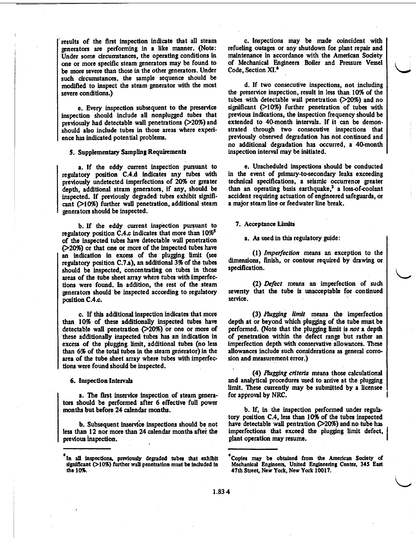results of the first inspection indicate that all steam generators are performing in a like manner. (Note: Under some circumstances, the operating conditions in one or more specific steam generators may be found to be more severe than those in the other generators. Under such circumstances, the sample sequence should be modified to inspect the steam generator with the most severe conditions.)

e. Every inspection subsequent to the preservice inspection should include all nonplugged tubes that previously had detectable wall penetrations  $($ >20%) and should also include tubes in those areas where experi ence has indicated potential problems.

#### *5.* Supplementary Sampling Requirements

a. If the eddy current inspection pursuant to regulatory position C.4.d indicates any tubes with previously undetected imperfections of 20% or greater depth, additional steam generators, if any, should be inspected. If previously degraded tubes exhibit signifi cant **(10%)** further wall penetration, additional steam generators should be inspected.

b. If the eddy current inspection pursuant to regulatory position C.4.c indicates that more than **10%\$**  of the inspected tubes have detectable wall penetration (>20%) or that one or more of the inspected tubes have an indication in excess of the plugging limit (see regulatory position C.7a), an additional 3% of the tubes should be inspected, concentrating on tubes in those areas of the tube sheet array where tubes with imperfec tions were found. In addition, the rest of the steam generators should'be inspected according to regulatory position C.4.c.

c. If this additional inspection indicates that more than 10% of these additionally inspected tubes have detectable wall penetration (>20%) or one or more of these additionally inspected tubes has an indication in excess of the plugging limit, additional tubes (no less than 6% of the total tubes in the steam generator) in the area of the tube sheet array where tubes with imperfec tions were found should be inspected.

6. Inspection Intervals

a. The first inservice inspection of steam generators should be performed after 6 effective full power months but before 24 calendar months.

b. Subsequent inservice inspections should be not less than 12 nor more than 24 calendar months aftei the previous inspection.

c. Inspections may be made coincident with refueling outages or any shutdown for plant repair and maintenance in accordance with the American Society of Mechanical Engineers Boiler and Pressure Vessel Code, Section XI.6

d. If two consecutive inspections, not including the preservice inspection, result in less than 10% of the tubes with detectable wall penetration  $(20\%)$  and no significant  $(210%)$  further penetration of tubes with previous indications, the inspection frequency should be extended to 40-month intervals. If it can be demon strated through two consecutive inspections that previously observed degradation has not continued and no additional degradation has occurred, a 40-month inspection interval may be initiated.

e. Unscheduled inspections should be conducted in the event of primary-to-secondary leaks exceeding technical specifications, a seismic occurrence greater than an operating basis earthquake, $2$  a loss-of-coolant accident requiring actuation of engineered safeguards, or a major steam line or feedwater line break.

#### 7. Acceptance Limits

a. As used in this regulatory guide:

*(1) Imperfection* means an exception to the dimensions, finish, or contour required by drawing or specification.

(2) *Defect* means an imperfection of such seventy that the tube is unacceptable for continued service.

(3) *Bugging limit* means the imperfection depth at or beyond which plugging of the tube must be performed. (Note that the plugging limit is *not* a depth of penetration within the defect range but rather an imperfection depth with conservative allowances. These allowances include such considerations as general corro sion and measurement error.)

(4) *Plugging criteria* means those calculational and analytical procedures used to arrive at the plugging limit. These currently may be submitted by a licensee for approval by NRC.

b. If, in the inspection performed under regula tory position *CA,* less than **10%** of the tubes inspected have detectable wall pentration  $(20%)$  and no tube has imperfections that exceed the plugging limit defect, plant operation may resume.

**I**

**<sup>&#</sup>x27;In** all inspections, previously degraded tubes that exhibit significant **(>10%)** further wall penetration must be included in the **10%.**

<sup>&#</sup>x27;Copies may be obtained from the American Society of Mechanical Engineers, United Engineering Center, 345 East 47th Street, New York, New York 10017.